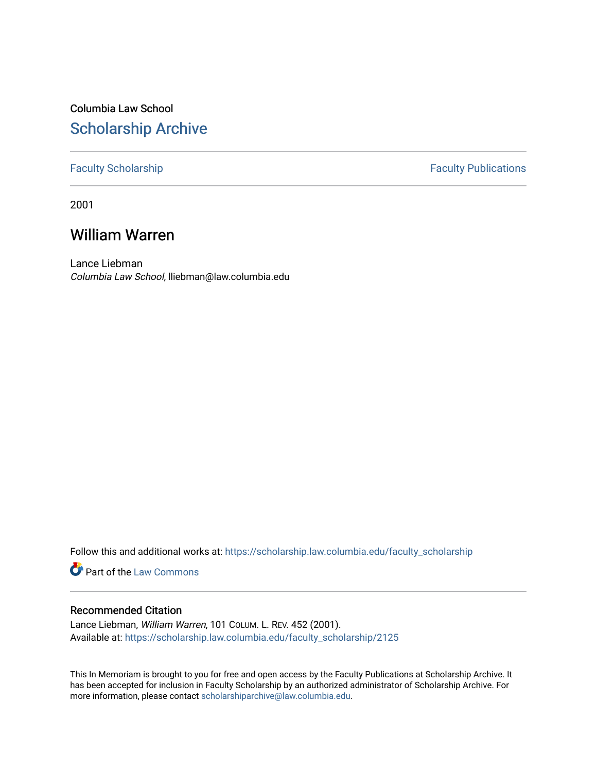# Columbia Law School [Scholarship Archive](https://scholarship.law.columbia.edu/)

### [Faculty Scholarship](https://scholarship.law.columbia.edu/faculty_scholarship) **Faculty Publications**

2001

# William Warren

Lance Liebman Columbia Law School, lliebman@law.columbia.edu

Follow this and additional works at: [https://scholarship.law.columbia.edu/faculty\\_scholarship](https://scholarship.law.columbia.edu/faculty_scholarship?utm_source=scholarship.law.columbia.edu%2Ffaculty_scholarship%2F2125&utm_medium=PDF&utm_campaign=PDFCoverPages)

**Part of the [Law Commons](http://network.bepress.com/hgg/discipline/578?utm_source=scholarship.law.columbia.edu%2Ffaculty_scholarship%2F2125&utm_medium=PDF&utm_campaign=PDFCoverPages)** 

### Recommended Citation

Lance Liebman, William Warren, 101 COLUM. L. REV. 452 (2001). Available at: [https://scholarship.law.columbia.edu/faculty\\_scholarship/2125](https://scholarship.law.columbia.edu/faculty_scholarship/2125?utm_source=scholarship.law.columbia.edu%2Ffaculty_scholarship%2F2125&utm_medium=PDF&utm_campaign=PDFCoverPages)

This In Memoriam is brought to you for free and open access by the Faculty Publications at Scholarship Archive. It has been accepted for inclusion in Faculty Scholarship by an authorized administrator of Scholarship Archive. For more information, please contact [scholarshiparchive@law.columbia.edu.](mailto:scholarshiparchive@law.columbia.edu)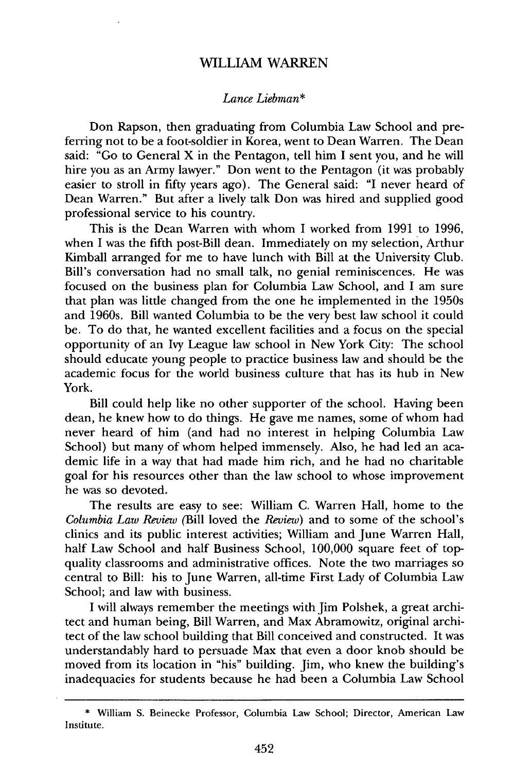#### WILLIAM WARREN

#### *Lance Liebman\**

Don Rapson, then graduating from Columbia Law School and preferring not to be a foot-soldier in Korea, went to Dean Warren. The Dean said: "Go to General X in the Pentagon, tell him I sent you, and he will hire you as an Army lawyer." Don went to the Pentagon (it was probably easier to stroll in fifty years ago). The General said: "I never heard of Dean Warren." But after a lively talk Don was hired and supplied good professional service to his country.

This is the Dean Warren with whom I worked from 1991 to 1996, when I was the fifth post-Bill dean. Immediately on my selection, Arthur Kimball arranged for me to have lunch with Bill at the University Club. Bill's conversation had no small talk, no genial reminiscences. He was focused on the business plan for Columbia Law School, and I am sure that plan was little changed from the one he implemented in the 1950s and 1960s. Bill wanted Columbia to be the very best law school it could be. To do that, he wanted excellent facilities and a focus on the special opportunity of an Ivy League law school in New York City: The school should educate young people to practice business law and should be the academic focus for the world business culture that has its hub in New York.

Bill could help like no other supporter of the school. Having been dean, he knew how to do things. He gave me names, some of whom had never heard of him (and had no interest in helping Columbia Law School) but many of whom helped immensely. Also, he had led an academic life in a way that had made him rich, and he had no charitable goal for his resources other than the law school to whose improvement he was so devoted.

The results are easy to see: William C. Warren Hall, home to the *Columbia Law Review* (Bill loved the *Review)* and to some of the school's clinics and its public interest activities; William and June Warren Hall, half Law School and half Business School, 100,000 square feet of topquality classrooms and administrative offices. Note the two marriages so central to Bill: his to June Warren, all-time First Lady of Columbia Law School; and law with business.

I will always remember the meetings with Jim Polshek, a great architect and human being, Bill Warren, and Max Abramowitz, original architect of the law school building that Bill conceived and constructed. It was understandably hard to persuade Max that even a door knob should be moved from its location in "his" building. Jim, who knew the building's inadequacies for students because he had been a Columbia Law School

<sup>\*</sup> William S. Beinecke Professor, Columbia Law School; Director, American Law Institute.